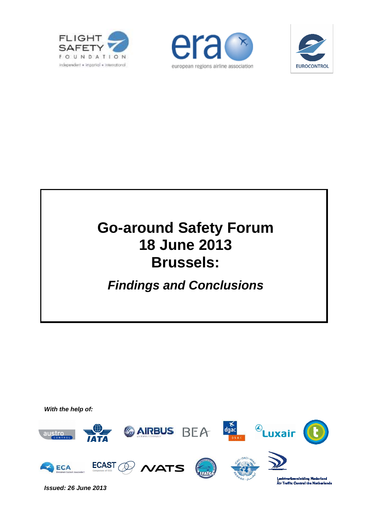





### **Go-around Safety Forum 18 June 2013 Brussels:**

### **Findings and Conclusions**



**Issued: 26 June 2013**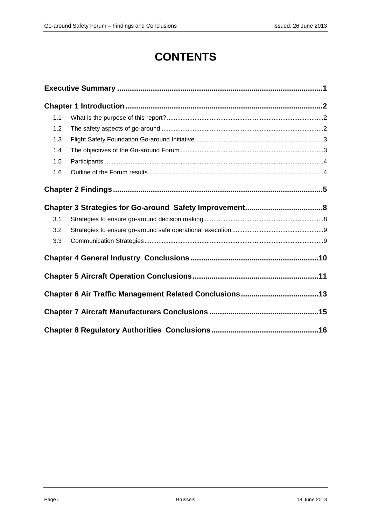### **CONTENTS**

| 1.1 |  |  |  |  |  |
|-----|--|--|--|--|--|
| 1.2 |  |  |  |  |  |
| 1.3 |  |  |  |  |  |
| 1.4 |  |  |  |  |  |
| 1.5 |  |  |  |  |  |
| 1.6 |  |  |  |  |  |
|     |  |  |  |  |  |
|     |  |  |  |  |  |
| 3.1 |  |  |  |  |  |
| 3.2 |  |  |  |  |  |
| 3.3 |  |  |  |  |  |
|     |  |  |  |  |  |
|     |  |  |  |  |  |
|     |  |  |  |  |  |
|     |  |  |  |  |  |
|     |  |  |  |  |  |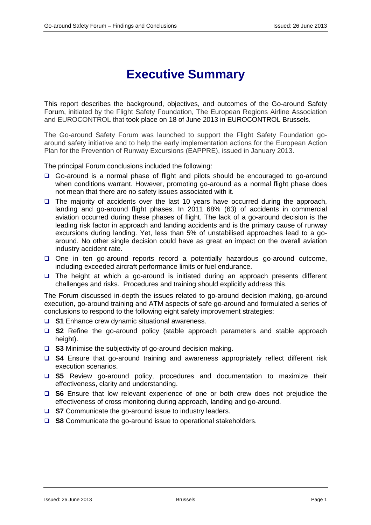### **Executive Summary**

This report describes the background, objectives, and outcomes of the Go-around Safety Forum, initiated by the Flight Safety Foundation, The European Regions Airline Association and EUROCONTROL that took place on 18 of June 2013 in EUROCONTROL Brussels.

The Go-around Safety Forum was launched to support the Flight Safety Foundation goaround safety initiative and to help the early implementation actions for the European Action Plan for the Prevention of Runway Excursions (EAPPRE), issued in January 2013.

The principal Forum conclusions included the following:

- Go-around is a normal phase of flight and pilots should be encouraged to go-around when conditions warrant. However, promoting go-around as a normal flight phase does not mean that there are no safety issues associated with it.
- $\Box$  The majority of accidents over the last 10 years have occurred during the approach, landing and go-around flight phases. In 2011 68% (63) of accidents in commercial aviation occurred during these phases of flight. The lack of a go-around decision is the leading risk factor in approach and landing accidents and is the primary cause of runway excursions during landing. Yet, less than 5% of unstabilised approaches lead to a goaround. No other single decision could have as great an impact on the overall aviation industry accident rate.
- $\Box$  One in ten go-around reports record a potentially hazardous go-around outcome, including exceeded aircraft performance limits or fuel endurance.
- $\Box$  The height at which a go-around is initiated during an approach presents different challenges and risks. Procedures and training should explicitly address this.

The Forum discussed in-depth the issues related to go-around decision making, go-around execution, go-around training and ATM aspects of safe go-around and formulated a series of conclusions to respond to the following eight safety improvement strategies:

- **S1** Enhance crew dynamic situational awareness.
- **S2** Refine the go-around policy (stable approach parameters and stable approach height).
- **S3** Minimise the subjectivity of go-around decision making.
- □ S4 Ensure that go-around training and awareness appropriately reflect different risk execution scenarios.
- **S5** Review go-around policy, procedures and documentation to maximize their effectiveness, clarity and understanding.
- **S6** Ensure that low relevant experience of one or both crew does not prejudice the effectiveness of cross monitoring during approach, landing and go-around.
- **S7** Communicate the go-around issue to industry leaders.
- **S8** Communicate the go-around issue to operational stakeholders.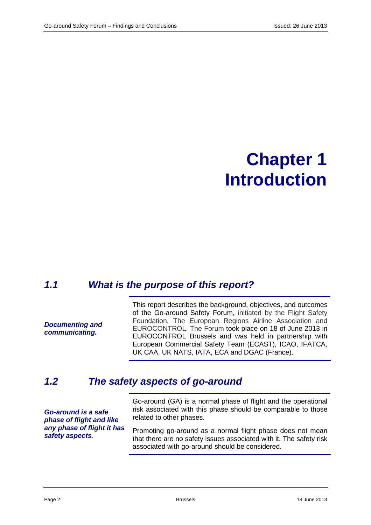### **Chapter 1 Introduction**

#### **1.1 What is the purpose of this report?**

**Documenting and communicating.** 

This report describes the background, objectives, and outcomes of the Go-around Safety Forum, initiated by the Flight Safety Foundation, The European Regions Airline Association and EUROCONTROL. The Forum took place on 18 of June 2013 in EUROCONTROL Brussels and was held in partnership with European Commercial Safety Team (ECAST), ICAO, IFATCA, UK CAA, UK NATS, IATA, ECA and DGAC (France).

#### **1.2 The safety aspects of go-around**

**Go-around is a safe phase of flight and like any phase of flight it has safety aspects.** 

Go-around (GA) is a normal phase of flight and the operational risk associated with this phase should be comparable to those related to other phases.

Promoting go-around as a normal flight phase does not mean that there are no safety issues associated with it. The safety risk associated with go-around should be considered.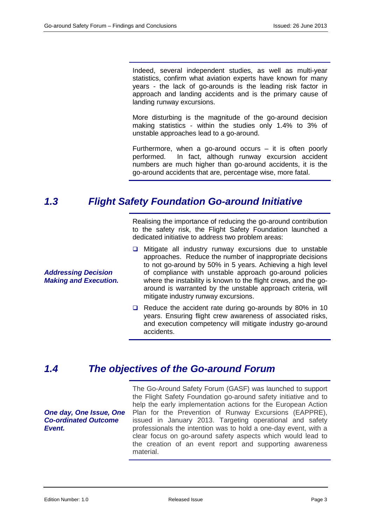Indeed, several independent studies, as well as multi-year statistics, confirm what aviation experts have known for many years - the lack of go-arounds is the leading risk factor in approach and landing accidents and is the primary cause of landing runway excursions.

More disturbing is the magnitude of the go-around decision making statistics - within the studies only 1.4% to 3% of unstable approaches lead to a go-around.

Furthermore, when a go-around occurs  $-$  it is often poorly performed. In fact, although runway excursion accident numbers are much higher than go-around accidents, it is the go-around accidents that are, percentage wise, more fatal.

#### **1.3 Flight Safety Foundation Go-around Initiative**

Realising the importance of reducing the go-around contribution to the safety risk, the Flight Safety Foundation launched a dedicated initiative to address two problem areas:

- $\Box$  Mitigate all industry runway excursions due to unstable approaches. Reduce the number of inappropriate decisions to not go-around by 50% in 5 years. Achieving a high level of compliance with unstable approach go-around policies where the instability is known to the flight crews, and the goaround is warranted by the unstable approach criteria, will mitigate industry runway excursions.
- $\Box$  Reduce the accident rate during go-arounds by 80% in 10 years. Ensuring flight crew awareness of associated risks, and execution competency will mitigate industry go-around accidents.

#### **1.4 The objectives of the Go-around Forum**

**One day, One Issue, One Co-ordinated Outcome Event.** 

The Go-Around Safety Forum (GASF) was launched to support the Flight Safety Foundation go-around safety initiative and to help the early implementation actions for the European Action Plan for the Prevention of Runway Excursions (EAPPRE), issued in January 2013. Targeting operational and safety professionals the intention was to hold a one-day event, with a clear focus on go-around safety aspects which would lead to the creation of an event report and supporting awareness material.

**Addressing Decision Making and Execution.**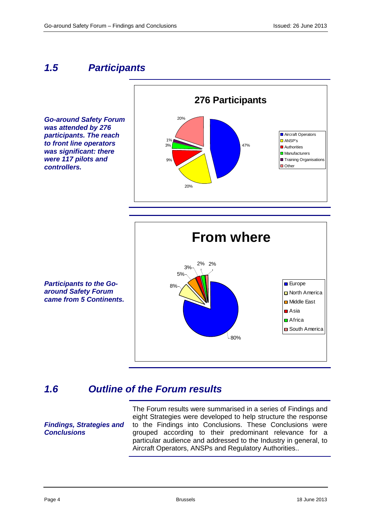#### **1.5 Participants**

**Go-around Safety Forum was attended by 276 participants. The reach to front line operators was significant: there were 117 pilots and controllers.** 





**Participants to the Goaround Safety Forum came from 5 Continents.** 

#### **1.6 Outline of the Forum results**

**Findings, Strategies and Conclusions** 

The Forum results were summarised in a series of Findings and eight Strategies were developed to help structure the response to the Findings into Conclusions. These Conclusions were grouped according to their predominant relevance for a particular audience and addressed to the Industry in general, to Aircraft Operators, ANSPs and Regulatory Authorities..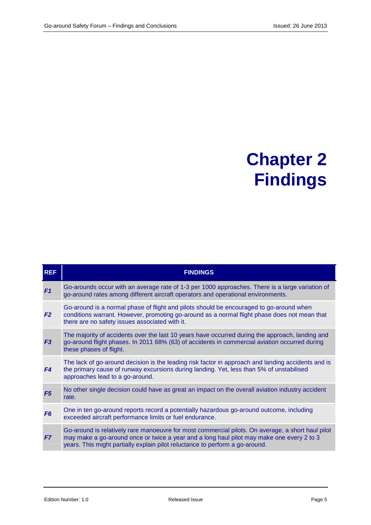### **Chapter 2 Findings**

| <b>REF</b>     | <b>FINDINGS</b>                                                                                                                                                                                                                                                                |
|----------------|--------------------------------------------------------------------------------------------------------------------------------------------------------------------------------------------------------------------------------------------------------------------------------|
| F <sub>1</sub> | Go-arounds occur with an average rate of 1-3 per 1000 approaches. There is a large variation of<br>go-around rates among different aircraft operators and operational environments.                                                                                            |
| F <sub>2</sub> | Go-around is a normal phase of flight and pilots should be encouraged to go-around when<br>conditions warrant. However, promoting go-around as a normal flight phase does not mean that<br>there are no safety issues associated with it.                                      |
| F <sub>3</sub> | The majority of accidents over the last 10 years have occurred during the approach, landing and<br>go-around flight phases. In 2011 68% (63) of accidents in commercial aviation occurred during<br>these phases of flight.                                                    |
| F4             | The lack of go-around decision is the leading risk factor in approach and landing accidents and is<br>the primary cause of runway excursions during landing. Yet, less than 5% of unstabilised<br>approaches lead to a go-around.                                              |
| F <sub>5</sub> | No other single decision could have as great an impact on the overall aviation industry accident<br>rate.                                                                                                                                                                      |
| F <sub>6</sub> | One in ten go-around reports record a potentially hazardous go-around outcome, including<br>exceeded aircraft performance limits or fuel endurance.                                                                                                                            |
| F7             | Go-around is relatively rare manoeuvre for most commercial pilots. On average, a short haul pilot<br>may make a go-around once or twice a year and a long haul pilot may make one every 2 to 3<br>years. This might partially explain pilot reluctance to perform a go-around. |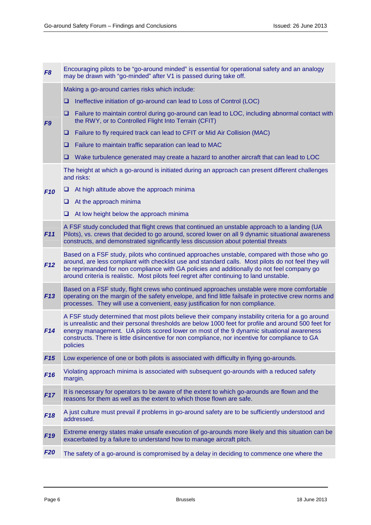| F <sub>8</sub>  | Encouraging pilots to be "go-around minded" is essential for operational safety and an analogy<br>may be drawn with "go-minded" after V1 is passed during take off.                                                                                                                                                                                                                                                   |                                                                                                                                                                         |  |  |  |
|-----------------|-----------------------------------------------------------------------------------------------------------------------------------------------------------------------------------------------------------------------------------------------------------------------------------------------------------------------------------------------------------------------------------------------------------------------|-------------------------------------------------------------------------------------------------------------------------------------------------------------------------|--|--|--|
|                 |                                                                                                                                                                                                                                                                                                                                                                                                                       | Making a go-around carries risks which include:                                                                                                                         |  |  |  |
| F <sub>9</sub>  | Ineffective initiation of go-around can lead to Loss of Control (LOC)<br>u                                                                                                                                                                                                                                                                                                                                            |                                                                                                                                                                         |  |  |  |
|                 | u                                                                                                                                                                                                                                                                                                                                                                                                                     | Failure to maintain control during go-around can lead to LOC, including abnormal contact with<br>the RWY, or to Controlled Flight Into Terrain (CFIT)                   |  |  |  |
|                 | u                                                                                                                                                                                                                                                                                                                                                                                                                     | Failure to fly required track can lead to CFIT or Mid Air Collision (MAC)                                                                                               |  |  |  |
|                 | u                                                                                                                                                                                                                                                                                                                                                                                                                     | Failure to maintain traffic separation can lead to MAC                                                                                                                  |  |  |  |
|                 | u                                                                                                                                                                                                                                                                                                                                                                                                                     | Wake turbulence generated may create a hazard to another aircraft that can lead to LOC                                                                                  |  |  |  |
|                 |                                                                                                                                                                                                                                                                                                                                                                                                                       | The height at which a go-around is initiated during an approach can present different challenges<br>and risks:                                                          |  |  |  |
| <b>F10</b>      | □                                                                                                                                                                                                                                                                                                                                                                                                                     | At high altitude above the approach minima                                                                                                                              |  |  |  |
|                 | u.                                                                                                                                                                                                                                                                                                                                                                                                                    | At the approach minima                                                                                                                                                  |  |  |  |
|                 |                                                                                                                                                                                                                                                                                                                                                                                                                       | $\Box$ At low height below the approach minima                                                                                                                          |  |  |  |
| F11             | A FSF study concluded that flight crews that continued an unstable approach to a landing (UA<br>Pilots), vs. crews that decided to go around, scored lower on all 9 dynamic situational awareness<br>constructs, and demonstrated significantly less discussion about potential threats                                                                                                                               |                                                                                                                                                                         |  |  |  |
| F12             | Based on a FSF study, pilots who continued approaches unstable, compared with those who go<br>around, are less compliant with checklist use and standard calls. Most pilots do not feel they will<br>be reprimanded for non compliance with GA policies and additionally do not feel company go<br>around criteria is realistic. Most pilots feel regret after continuing to land unstable.                           |                                                                                                                                                                         |  |  |  |
| F13             | Based on a FSF study, flight crews who continued approaches unstable were more comfortable<br>operating on the margin of the safety envelope, and find little failsafe in protective crew norms and<br>processes. They will use a convenient, easy justification for non compliance.                                                                                                                                  |                                                                                                                                                                         |  |  |  |
| F14             | A FSF study determined that most pilots believe their company instability criteria for a go around<br>is unrealistic and their personal thresholds are below 1000 feet for profile and around 500 feet for<br>energy management. UA pilots scored lower on most of the 9 dynamic situational awareness<br>constructs. There is little disincentive for non compliance, nor incentive for compliance to GA<br>policies |                                                                                                                                                                         |  |  |  |
| F15             | Low experience of one or both pilots is associated with difficulty in flying go-arounds.                                                                                                                                                                                                                                                                                                                              |                                                                                                                                                                         |  |  |  |
| F <sub>16</sub> | Violating approach minima is associated with subsequent go-arounds with a reduced safety<br>margin.                                                                                                                                                                                                                                                                                                                   |                                                                                                                                                                         |  |  |  |
| <b>F17</b>      | It is necessary for operators to be aware of the extent to which go-arounds are flown and the<br>reasons for them as well as the extent to which those flown are safe.                                                                                                                                                                                                                                                |                                                                                                                                                                         |  |  |  |
| F <sub>18</sub> |                                                                                                                                                                                                                                                                                                                                                                                                                       | A just culture must prevail if problems in go-around safety are to be sufficiently understood and<br>addressed.                                                         |  |  |  |
| F <sub>19</sub> |                                                                                                                                                                                                                                                                                                                                                                                                                       | Extreme energy states make unsafe execution of go-arounds more likely and this situation can be<br>exacerbated by a failure to understand how to manage aircraft pitch. |  |  |  |
| <b>F20</b>      |                                                                                                                                                                                                                                                                                                                                                                                                                       | The safety of a go-around is compromised by a delay in deciding to commence one where the                                                                               |  |  |  |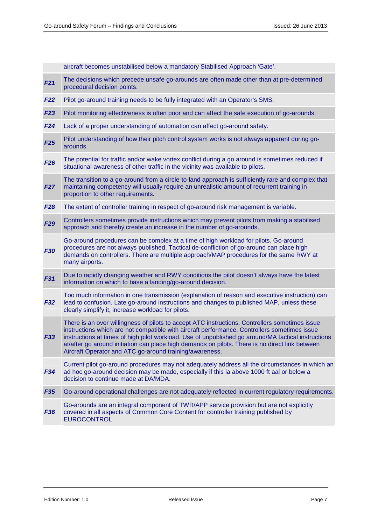|            | aircraft becomes unstabilised below a mandatory Stabilised Approach 'Gate'.                                                                                                                                                                                                                                                                                                                                                                                         |
|------------|---------------------------------------------------------------------------------------------------------------------------------------------------------------------------------------------------------------------------------------------------------------------------------------------------------------------------------------------------------------------------------------------------------------------------------------------------------------------|
| F21        | The decisions which precede unsafe go-arounds are often made other than at pre-determined<br>procedural decision points.                                                                                                                                                                                                                                                                                                                                            |
| F22        | Pilot go-around training needs to be fully integrated with an Operator's SMS.                                                                                                                                                                                                                                                                                                                                                                                       |
| F23        | Pilot monitoring effectiveness is often poor and can affect the safe execution of go-arounds.                                                                                                                                                                                                                                                                                                                                                                       |
| F24        | Lack of a proper understanding of automation can affect go-around safety.                                                                                                                                                                                                                                                                                                                                                                                           |
| F25        | Pilot understanding of how their pitch control system works is not always apparent during go-<br>arounds.                                                                                                                                                                                                                                                                                                                                                           |
| F26        | The potential for traffic and/or wake vortex conflict during a go around is sometimes reduced if<br>situational awareness of other traffic in the vicinity was available to pilots.                                                                                                                                                                                                                                                                                 |
| <b>F27</b> | The transition to a go-around from a circle-to-land approach is sufficiently rare and complex that<br>maintaining competency will usually require an unrealistic amount of recurrent training in<br>proportion to other requirements.                                                                                                                                                                                                                               |
| F28        | The extent of controller training in respect of go-around risk management is variable.                                                                                                                                                                                                                                                                                                                                                                              |
| <b>F29</b> | Controllers sometimes provide instructions which may prevent pilots from making a stabilised<br>approach and thereby create an increase in the number of go-arounds.                                                                                                                                                                                                                                                                                                |
| F30        | Go-around procedures can be complex at a time of high workload for pilots. Go-around<br>procedures are not always published. Tactical de-confliction of go-around can place high<br>demands on controllers. There are multiple approach/MAP procedures for the same RWY at<br>many airports.                                                                                                                                                                        |
| F31        | Due to rapidly changing weather and RWY conditions the pilot doesn't always have the latest<br>information on which to base a landing/go-around decision.                                                                                                                                                                                                                                                                                                           |
| <b>F32</b> | Too much information in one transmission (explanation of reason and executive instruction) can<br>lead to confusion. Late go-around instructions and changes to published MAP, unless these<br>clearly simplify it, increase workload for pilots.                                                                                                                                                                                                                   |
| F33        | There is an over willingness of pilots to accept ATC instructions. Controllers sometimes issue<br>instructions which are not compatible with aircraft performance. Controllers sometimes issue<br>instructions at times of high pilot workload. Use of unpublished go around/MA tactical instructions<br>at/after go around initiation can place high demands on pilots. There is no direct link between<br>Aircraft Operator and ATC go-around training/awareness. |
| F34        | Current pilot go-around procedures may not adequately address all the circumstances in which an<br>ad hoc go-around decision may be made, especially if this ia above 1000 ft aal or below a<br>decision to continue made at DA/MDA.                                                                                                                                                                                                                                |
| F35        | Go-around operational challenges are not adequately reflected in current regulatory requirements.                                                                                                                                                                                                                                                                                                                                                                   |
| <b>F36</b> | Go-arounds are an integral component of TWR/APP service provision but are not explicitly<br>covered in all aspects of Common Core Content for controller training published by<br>EUROCONTROL.                                                                                                                                                                                                                                                                      |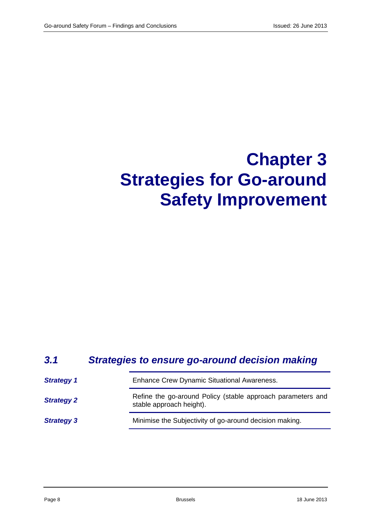# **Chapter 3 Strategies for Go-around Safety Improvement**

#### **3.1 Strategies to ensure go-around decision making**

| <b>Strategy 1</b> | <b>Enhance Crew Dynamic Situational Awareness.</b>                                      |
|-------------------|-----------------------------------------------------------------------------------------|
| <b>Strategy 2</b> | Refine the go-around Policy (stable approach parameters and<br>stable approach height). |
| <b>Strategy 3</b> | Minimise the Subjectivity of go-around decision making.                                 |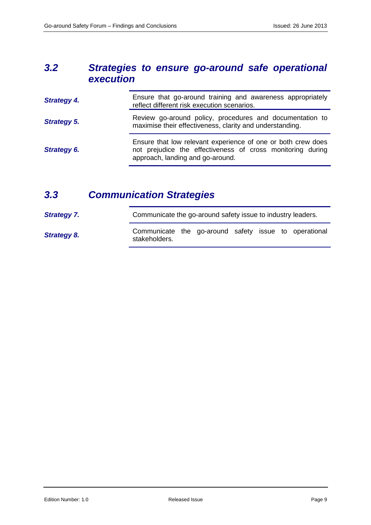#### **3.2 Strategies to ensure go-around safe operational execution**

| <b>Strategy 4.</b> | Ensure that go-around training and awareness appropriately<br>reflect different risk execution scenarios.                                                      |
|--------------------|----------------------------------------------------------------------------------------------------------------------------------------------------------------|
| <b>Strategy 5.</b> | Review go-around policy, procedures and documentation to<br>maximise their effectiveness, clarity and understanding.                                           |
| Strategy 6.        | Ensure that low relevant experience of one or both crew does<br>not prejudice the effectiveness of cross monitoring during<br>approach, landing and go-around. |

### **3.3 Communication Strategies**

| <b>Strategy 7.</b> |                                                                        | Communicate the go-around safety issue to industry leaders. |  |  |  |  |  |
|--------------------|------------------------------------------------------------------------|-------------------------------------------------------------|--|--|--|--|--|
| <b>Strategy 8.</b> | Communicate the go-around safety issue to operational<br>stakeholders. |                                                             |  |  |  |  |  |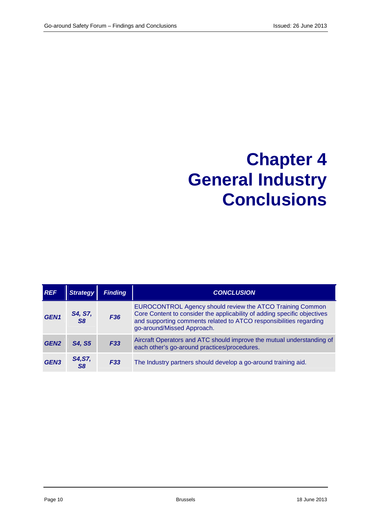### **Chapter 4 General Industry Conclusions**

| <b>REF</b>       | <b>Strategy</b>           | <b>Finding</b>  | <b>CONCLUSION</b>                                                                                                                                                                                                                         |
|------------------|---------------------------|-----------------|-------------------------------------------------------------------------------------------------------------------------------------------------------------------------------------------------------------------------------------------|
| GEN <sub>1</sub> | S4, S7,<br>S <sub>8</sub> | F <sub>36</sub> | EUROCONTROL Agency should review the ATCO Training Common<br>Core Content to consider the applicability of adding specific objectives<br>and supporting comments related to ATCO responsibilities regarding<br>go-around/Missed Approach. |
| GEN <sub>2</sub> | S4, S5                    | F <sub>33</sub> | Aircraft Operators and ATC should improve the mutual understanding of<br>each other's go-around practices/procedures.                                                                                                                     |
| GEN <sub>3</sub> | S4, S7,<br>S8             | F33             | The Industry partners should develop a go-around training aid.                                                                                                                                                                            |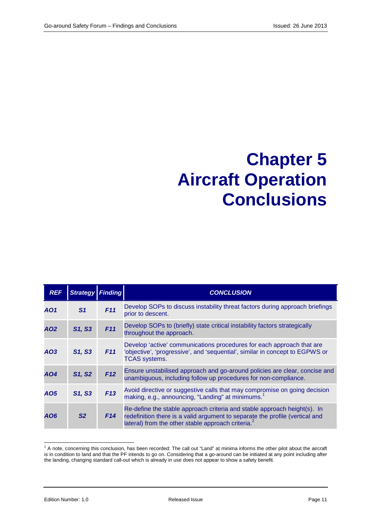### **Chapter 5 Aircraft Operation Conclusions**

| <b>REF</b>      | <b>Strategy Finding</b> |     | <b>CONCLUSION</b>                                                                                                                                                                                                          |
|-----------------|-------------------------|-----|----------------------------------------------------------------------------------------------------------------------------------------------------------------------------------------------------------------------------|
| AO1             | S <sub>1</sub>          | F11 | Develop SOPs to discuss instability threat factors during approach briefings<br>prior to descent.                                                                                                                          |
| AO <sub>2</sub> | S1, S3                  | F11 | Develop SOPs to (briefly) state critical instability factors strategically<br>throughout the approach.                                                                                                                     |
| AO3             | S1, S3                  | F11 | Develop 'active' communications procedures for each approach that are<br>'objective', 'progressive', and 'sequential', similar in concept to EGPWS or<br><b>TCAS</b> systems.                                              |
| AO4             | S1, S2                  | F12 | Ensure unstabilised approach and go-around policies are clear, concise and<br>unambiguous, including follow up procedures for non-compliance.                                                                              |
| AO5             | S1, S3                  | F13 | Avoid directive or suggestive calls that may compromise on going decision<br>making, e.g., announcing, "Landing" at minimums. <sup>1</sup>                                                                                 |
| AO6             | S <sub>2</sub>          | F14 | Re-define the stable approach criteria and stable approach height(s). In<br>redefinition there is a valid argument to separate the profile (vertical and<br>lateral) from the other stable approach criteria. <sup>2</sup> |

 1 A note, concerning this conclusion, has been recorded: The call out "Land" at minima informs the other pilot about the aircraft is in condition to land and that the PF intends to go on. Considering that a go-around can be initiated at any point including after the landing, changing standard call-out which is already in use does not appear to show a safety benefit.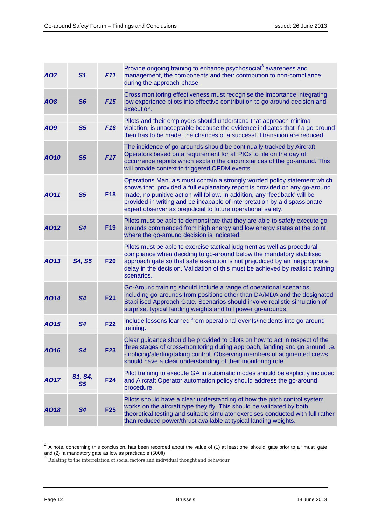| <b>AO7</b> | S <sub>1</sub>            | F11             | Provide ongoing training to enhance psychosocial <sup>3</sup> awareness and<br>management, the components and their contribution to non-compliance<br>during the approach phase.                                                                                                                                                                                                  |
|------------|---------------------------|-----------------|-----------------------------------------------------------------------------------------------------------------------------------------------------------------------------------------------------------------------------------------------------------------------------------------------------------------------------------------------------------------------------------|
| AO8        | S <sub>6</sub>            | F15             | Cross monitoring effectiveness must recognise the importance integrating<br>low experience pilots into effective contribution to go around decision and<br>execution.                                                                                                                                                                                                             |
| AO9        | S <sub>5</sub>            | F <sub>16</sub> | Pilots and their employers should understand that approach minima<br>violation, is unacceptable because the evidence indicates that if a go-around<br>then has to be made, the chances of a successful transition are reduced.                                                                                                                                                    |
| AO10       | S <sub>5</sub>            | F17             | The incidence of go-arounds should be continually tracked by Aircraft<br>Operators based on a requirement for all PICs to file on the day of<br>occurrence reports which explain the circumstances of the go-around. This<br>will provide context to triggered OFDM events.                                                                                                       |
| AO11       | S <sub>5</sub>            | <b>F18</b>      | Operations Manuals must contain a strongly worded policy statement which<br>shows that, provided a full explanatory report is provided on any go-around<br>made, no punitive action will follow. In addition, any 'feedback' will be<br>provided in writing and be incapable of interpretation by a dispassionate<br>expert observer as prejudicial to future operational safety. |
| AO12       | S <sub>4</sub>            | F <sub>19</sub> | Pilots must be able to demonstrate that they are able to safely execute go-<br>arounds commenced from high energy and low energy states at the point<br>where the go-around decision is indicated.                                                                                                                                                                                |
| AO13       | <b>S4, S5</b>             | <b>F20</b>      | Pilots must be able to exercise tactical judgment as well as procedural<br>compliance when deciding to go-around below the mandatory stabilised<br>approach gate so that safe execution is not prejudiced by an inappropriate<br>delay in the decision. Validation of this must be achieved by realistic training<br>scenarios.                                                   |
| AO14       | S <sub>4</sub>            | <b>F21</b>      | Go-Around training should include a range of operational scenarios,<br>including go-arounds from positions other than DA/MDA and the designated<br>Stabilised Approach Gate. Scenarios should involve realistic simulation of<br>surprise, typical landing weights and full power go-arounds.                                                                                     |
| AO15       | S4                        | <b>F22</b>      | Include lessons learned from operational events/incidents into go-around<br>training.                                                                                                                                                                                                                                                                                             |
| AO16       | S4                        | <b>F23</b>      | Clear guidance should be provided to pilots on how to act in respect of the<br>three stages of cross-monitoring during approach, landing and go around i.e.<br>- noticing/alerting/taking control. Observing members of augmented crews<br>should have a clear understanding of their monitoring role.                                                                            |
| AO17       | S1, S4,<br>S <sub>5</sub> | <b>F24</b>      | Pilot training to execute GA in automatic modes should be explicitly included<br>and Aircraft Operator automation policy should address the go-around<br>procedure.                                                                                                                                                                                                               |
| AO18       | S <sub>4</sub>            | <b>F25</b>      | Pilots should have a clear understanding of how the pitch control system<br>works on the aircraft type they fly. This should be validated by both<br>theoretical testing and suitable simulator exercises conducted with full rather<br>than reduced power/thrust available at typical landing weights.                                                                           |

 $^2$  A note, concerning this conclusion, has been recorded about the value of (1) at least one 'should' gate prior to a ',must' gate and (2) a mandatory gate as low as practicable (500ft)<br><sup>3</sup> Relating to the interrelation of social factors and individual thought and behaviour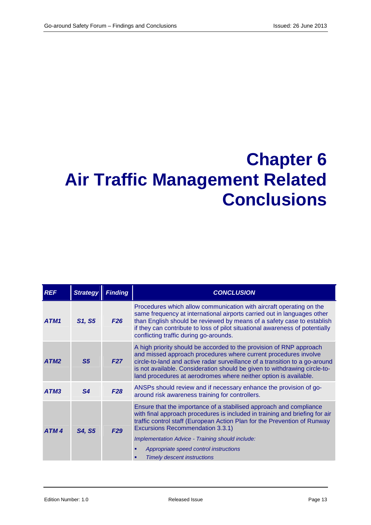## **Chapter 6 Air Traffic Management Related Conclusions**

| <b>REF</b>       | <b>Strategy</b> | <b>Finding</b> | <b>CONCLUSION</b>                                                                                                                                                                                                                                                                                                                                                                                            |
|------------------|-----------------|----------------|--------------------------------------------------------------------------------------------------------------------------------------------------------------------------------------------------------------------------------------------------------------------------------------------------------------------------------------------------------------------------------------------------------------|
| ATM1             | S1, S5          | F26            | Procedures which allow communication with aircraft operating on the<br>same frequency at international airports carried out in languages other<br>than English should be reviewed by means of a safety case to establish<br>if they can contribute to loss of pilot situational awareness of potentially<br>conflicting traffic during go-arounds.                                                           |
| ATM2             | S <sub>5</sub>  | F27            | A high priority should be accorded to the provision of RNP approach<br>and missed approach procedures where current procedures involve<br>circle-to-land and active radar surveillance of a transition to a go-around<br>is not available. Consideration should be given to withdrawing circle-to-<br>land procedures at aerodromes where neither option is available.                                       |
| ATM3             | S <sub>4</sub>  | F28            | ANSPs should review and if necessary enhance the provision of go-<br>around risk awareness training for controllers.                                                                                                                                                                                                                                                                                         |
| ATM <sub>4</sub> | S4, S5          | F29            | Ensure that the importance of a stabilised approach and compliance<br>with final approach procedures is included in training and briefing for air<br>traffic control staff (European Action Plan for the Prevention of Runway<br><b>Excursions Recommendation 3.3.1)</b><br>Implementation Advice - Training should include:<br>Appropriate speed control instructions<br><b>Timely descent instructions</b> |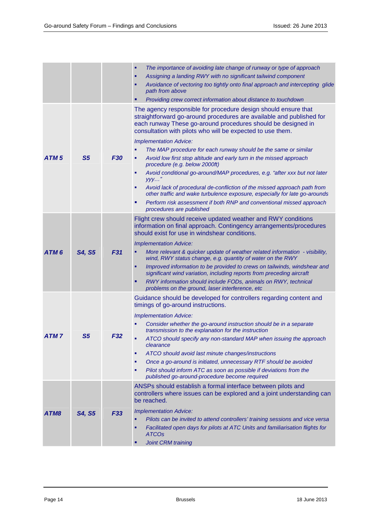|                  |                |                 | The importance of avoiding late change of runway or type of approach<br>Assigning a landing RWY with no significant tailwind component<br>Avoidance of vectoring too tightly onto final approach and intercepting glide<br>path from above<br>Providing crew correct information about distance to touchdown                                                                                                                                                                                                                                                                                                                                                                                                                                                                                                                                |
|------------------|----------------|-----------------|---------------------------------------------------------------------------------------------------------------------------------------------------------------------------------------------------------------------------------------------------------------------------------------------------------------------------------------------------------------------------------------------------------------------------------------------------------------------------------------------------------------------------------------------------------------------------------------------------------------------------------------------------------------------------------------------------------------------------------------------------------------------------------------------------------------------------------------------|
| ATM <sub>5</sub> | S <sub>5</sub> | <b>F30</b>      | The agency responsible for procedure design should ensure that<br>straightforward go-around procedures are available and published for<br>each runway These go-around procedures should be designed in<br>consultation with pilots who will be expected to use them.<br><b>Implementation Advice:</b><br>The MAP procedure for each runway should be the same or similar<br>Avoid low first stop altitude and early turn in the missed approach<br>procedure (e.g. below 2000ft)<br>Avoid conditional go-around/MAP procedures, e.g. "after xxx but not later<br>п<br>$yyy$ "<br>Avoid lack of procedural de-confliction of the missed approach path from<br>other traffic and wake turbulence exposure, especially for late go-arounds<br>Perform risk assessment if both RNP and conventional missed approach<br>procedures are published |
| ATM <sub>6</sub> | <b>S4, S5</b>  | <b>F31</b>      | Flight crew should receive updated weather and RWY conditions<br>information on final approach. Contingency arrangements/procedures<br>should exist for use in windshear conditions.<br><b>Implementation Advice:</b><br>More relevant & quicker update of weather related information - visibility,<br>wind, RWY status change, e.g. quantity of water on the RWY<br>Improved information to be provided to crews on tailwinds, windshear and<br>٠<br>significant wind variation, including reports from preceding aircraft<br>RWY information should include FODs, animals on RWY, technical<br>problems on the ground, laser interference, etc                                                                                                                                                                                           |
| ATM <sub>7</sub> | S <sub>5</sub> | <b>F32</b>      | Guidance should be developed for controllers regarding content and<br>timings of go-around instructions.<br><b>Implementation Advice:</b><br>Consider whether the go-around instruction should be in a separate<br>transmission to the explanation for the instruction<br>ATCO should specify any non-standard MAP when issuing the approach<br>clearance<br>ATCO should avoid last minute changes/instructions<br>٠<br>Once a go-around is initiated, unnecessary RTF should be avoided<br>Pilot should inform ATC as soon as possible if deviations from the<br>published go-around-procedure become required                                                                                                                                                                                                                             |
| ATM8             | S4, S5         | F <sub>33</sub> | ANSPs should establish a formal interface between pilots and<br>controllers where issues can be explored and a joint understanding can<br>be reached.<br><b>Implementation Advice:</b><br>Pilots can be invited to attend controllers' training sessions and vice versa<br>Facilitated open days for pilots at ATC Units and familiarisation flights for<br><b>ATCOs</b><br><b>Joint CRM training</b>                                                                                                                                                                                                                                                                                                                                                                                                                                       |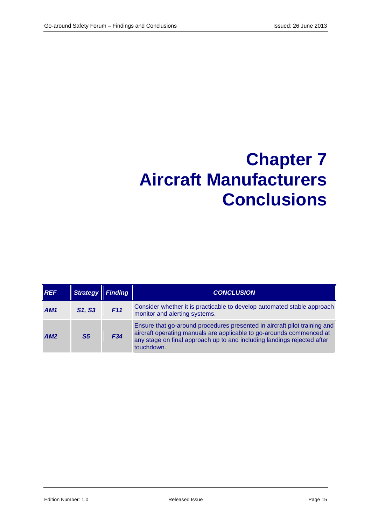## **Chapter 7 Aircraft Manufacturers Conclusions**

| <b>REF</b> | <b>Strategy</b> | <b>Finding</b> | <b>CONCLUSION</b>                                                                                                                                                                                                                          |
|------------|-----------------|----------------|--------------------------------------------------------------------------------------------------------------------------------------------------------------------------------------------------------------------------------------------|
| AM1        | S1, S3          | F11            | Consider whether it is practicable to develop automated stable approach<br>monitor and alerting systems.                                                                                                                                   |
| AM2        | S <sub>5</sub>  | F34            | Ensure that go-around procedures presented in aircraft pilot training and<br>aircraft operating manuals are applicable to go-arounds commenced at<br>any stage on final approach up to and including landings rejected after<br>touchdown. |